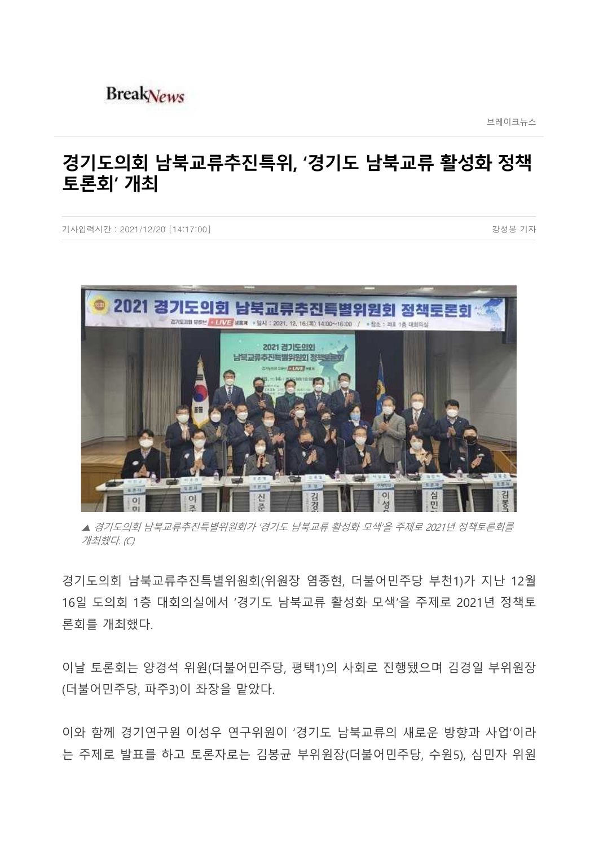## **BreakNews**

브레이크뉴스

## **경기도의회 남북교류추진특위, '경기도 남북교류 활성화 정책 토론회' 개최**

기사입력시간 : 2021/12/20 [14:17:00] 23성봉 기자 기사입력시간 : 2021/12/20 [14:17:00]



▲ 경기도의회 남북교류추진특별위원회가 '경기도 남북교류 활성화 모색'을 주제로 2021년 정책토론회를 개최했다. (C)

경기도의회 남북교류추진특별위원회(위원장 염종현, 더불어민주당 부천1)가 지난 12월 16일 도의회 1층 대회의실에서 '경기도 남북교류 활성화 모색'을 주제로 2021년 정책토 론회를 개최했다.

이날 토론회는 양경석 위원(더불어민주당, 평택1)의 사회로 진행됐으며 김경일 부위원장 (더불어민주당, 파주3)이 좌장을 맡았다.

이와 함께 경기연구원 이성우 연구위원이 '경기도 남북교류의 새로운 방향과 사업'이라 는 주제로 발표를 하고 토론자로는 김봉균 부위원장(더불어민주당, 수원5), 심민자 위원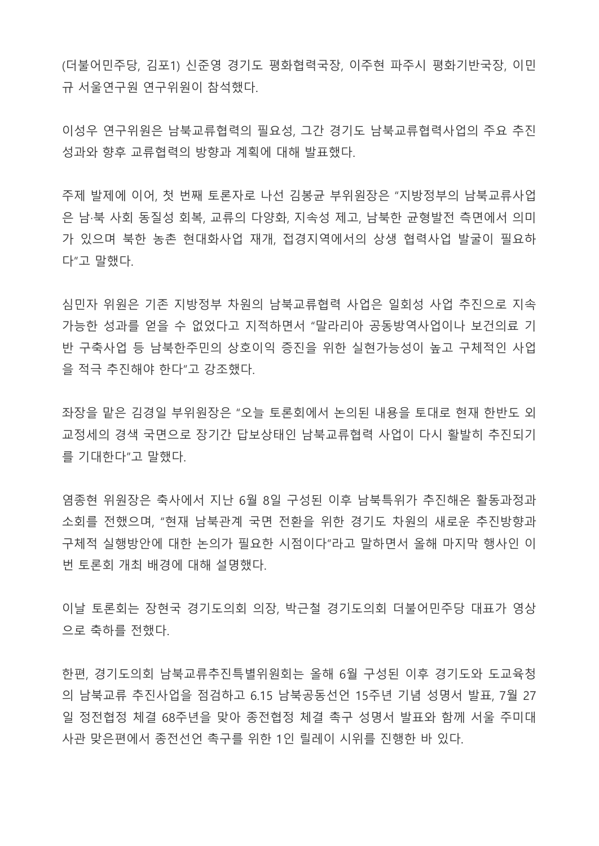(더불어민주당, 김포1) 신준영 경기도 평화협력국장, 이주현 파주시 평화기반국장, 이민 규 서울연구원 연구위원이 참석했다.

이성우 연구위원은 남북교류협력의 필요성, 그간 경기도 남북교류협력사업의 주요 추진 성과와 향후 교류협력의 방향과 계획에 대해 발표했다.

주제 발제에 이어, 첫 번째 토론자로 나선 김봉균 부위원장은 "지방정부의 남북교류사업 은 남·북 사회 동질성 회복, 교류의 다양화, 지속성 제고, 남북한 균형발전 측면에서 의미 가 있으며 북한 농촌 현대화사업 재개, 접경지역에서의 상생 협력사업 발굴이 필요하 다"고 말했다.

심민자 위원은 기존 지방정부 차원의 남북교류협력 사업은 일회성 사업 추진으로 지속 가능한 성과를 얻을 수 없었다고 지적하면서 "말라리아 공동방역사업이나 보건의료 기 반 구축사업 등 남북한주민의 상호이익 증진을 위한 실현가능성이 높고 구체적인 사업 을 적극 추진해야 한다"고 강조했다.

좌장을 맡은 김경일 부위원장은 "오늘 토론회에서 논의된 내용을 토대로 현재 한반도 외 교정세의 경색 국면으로 장기간 답보상태인 남북교류협력 사업이 다시 활발히 추진되기 를 기대한다"고 말했다.

염종현 위원장은 축사에서 지난 6월 8일 구성된 이후 남북특위가 추진해온 활동과정과 소회를 전했으며, "현재 남북관계 국면 전환을 위한 경기도 차원의 새로운 추진방향과 구체적 실행방안에 대한 논의가 필요한 시점이다"라고 말하면서 올해 마지막 행사인 이 번 토론회 개최 배경에 대해 설명했다.

이날 토론회는 장현국 경기도의회 의장, 박근철 경기도의회 더불어민주당 대표가 영상 으로 축하를 전했다.

한편, 경기도의회 남북교류추진특별위원회는 올해 6월 구성된 이후 경기도와 도교육청 의 남북교류 추진사업을 점검하고 6.15 남북공동선언 15주년 기념 성명서 발표, 7월 27 일 정전협정 체결 68주년을 맞아 종전협정 체결 촉구 성명서 발표와 함께 서울 주미대 사관 맞은편에서 종전선언 촉구를 위한 1인 릴레이 시위를 진행한 바 있다.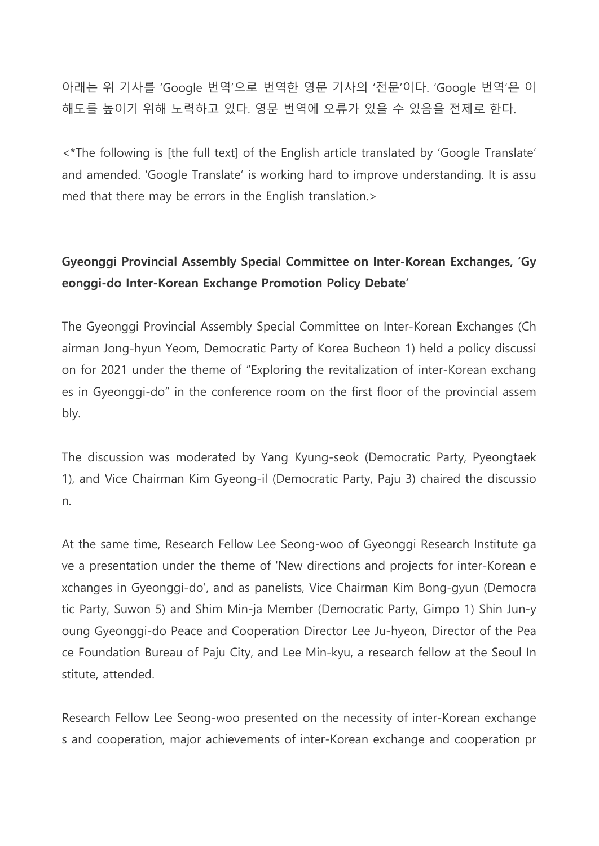아래는 위 기사를 'Google 번역'으로 번역한 영문 기사의 '전문'이다. 'Google 번역'은 이 해도를 높이기 위해 노력하고 있다. 영문 번역에 오류가 있을 수 있음을 전제로 한다.

<\*The following is [the full text] of the English article translated by 'Google Translate' and amended. 'Google Translate' is working hard to improve understanding. It is assu med that there may be errors in the English translation.>

## **Gyeonggi Provincial Assembly Special Committee on Inter-Korean Exchanges, 'Gy eonggi-do Inter-Korean Exchange Promotion Policy Debate'**

The Gyeonggi Provincial Assembly Special Committee on Inter-Korean Exchanges (Ch airman Jong-hyun Yeom, Democratic Party of Korea Bucheon 1) held a policy discussi on for 2021 under the theme of "Exploring the revitalization of inter-Korean exchang es in Gyeonggi-do" in the conference room on the first floor of the provincial assem bly.

The discussion was moderated by Yang Kyung-seok (Democratic Party, Pyeongtaek 1), and Vice Chairman Kim Gyeong-il (Democratic Party, Paju 3) chaired the discussio n.

At the same time, Research Fellow Lee Seong-woo of Gyeonggi Research Institute ga ve a presentation under the theme of 'New directions and projects for inter-Korean e xchanges in Gyeonggi-do', and as panelists, Vice Chairman Kim Bong-gyun (Democra tic Party, Suwon 5) and Shim Min-ja Member (Democratic Party, Gimpo 1) Shin Jun-y oung Gyeonggi-do Peace and Cooperation Director Lee Ju-hyeon, Director of the Pea ce Foundation Bureau of Paju City, and Lee Min-kyu, a research fellow at the Seoul In stitute, attended.

Research Fellow Lee Seong-woo presented on the necessity of inter-Korean exchange s and cooperation, major achievements of inter-Korean exchange and cooperation pr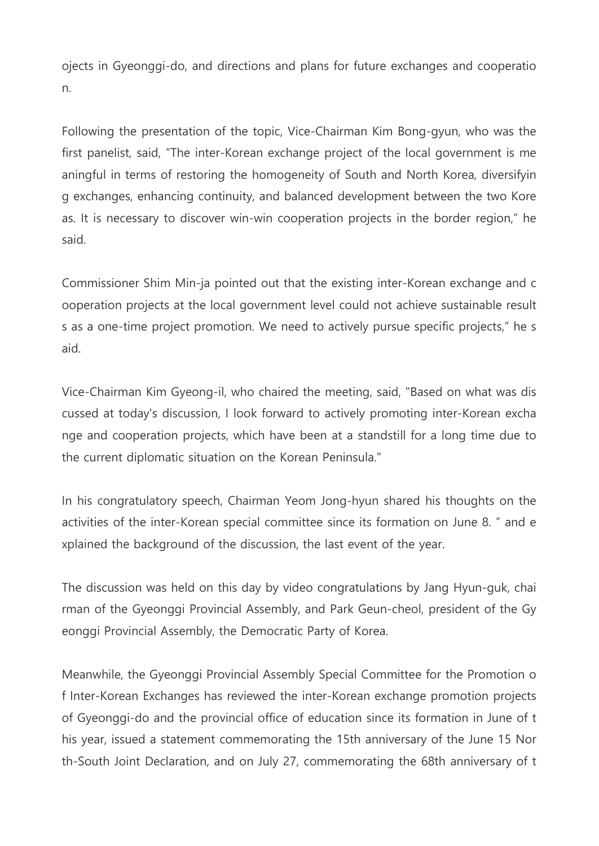ojects in Gyeonggi-do, and directions and plans for future exchanges and cooperatio n.

Following the presentation of the topic, Vice-Chairman Kim Bong-gyun, who was the first panelist, said, "The inter-Korean exchange project of the local government is me aningful in terms of restoring the homogeneity of South and North Korea, diversifyin g exchanges, enhancing continuity, and balanced development between the two Kore as. It is necessary to discover win-win cooperation projects in the border region," he said.

Commissioner Shim Min-ja pointed out that the existing inter-Korean exchange and c ooperation projects at the local government level could not achieve sustainable result s as a one-time project promotion. We need to actively pursue specific projects," he s aid.

Vice-Chairman Kim Gyeong-il, who chaired the meeting, said, "Based on what was dis cussed at today's discussion, I look forward to actively promoting inter-Korean excha nge and cooperation projects, which have been at a standstill for a long time due to the current diplomatic situation on the Korean Peninsula."

In his congratulatory speech, Chairman Yeom Jong-hyun shared his thoughts on the activities of the inter-Korean special committee since its formation on June 8. " and e xplained the background of the discussion, the last event of the year.

The discussion was held on this day by video congratulations by Jang Hyun-guk, chai rman of the Gyeonggi Provincial Assembly, and Park Geun-cheol, president of the Gy eonggi Provincial Assembly, the Democratic Party of Korea.

Meanwhile, the Gyeonggi Provincial Assembly Special Committee for the Promotion o f Inter-Korean Exchanges has reviewed the inter-Korean exchange promotion projects of Gyeonggi-do and the provincial office of education since its formation in June of t his year, issued a statement commemorating the 15th anniversary of the June 15 Nor th-South Joint Declaration, and on July 27, commemorating the 68th anniversary of t